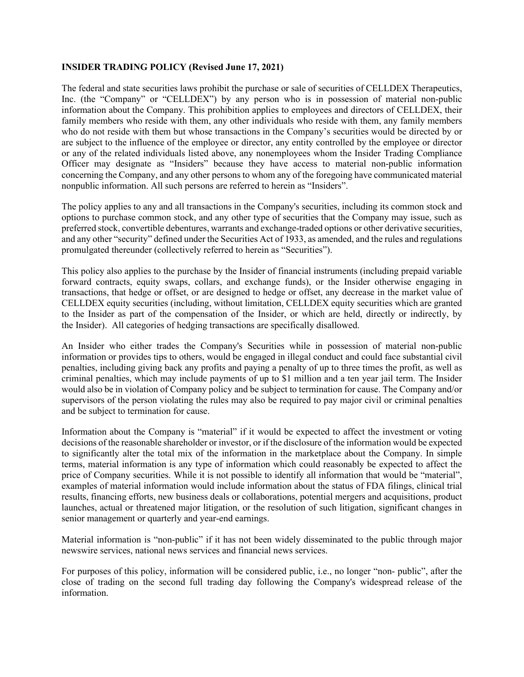## **INSIDER TRADING POLICY (Revised June 17, 2021)**

The federal and state securities laws prohibit the purchase or sale of securities of CELLDEX Therapeutics, Inc. (the "Company" or "CELLDEX") by any person who is in possession of material non-public information about the Company. This prohibition applies to employees and directors of CELLDEX, their family members who reside with them, any other individuals who reside with them, any family members who do not reside with them but whose transactions in the Company's securities would be directed by or are subject to the influence of the employee or director, any entity controlled by the employee or director or any of the related individuals listed above, any nonemployees whom the Insider Trading Compliance Officer may designate as "Insiders" because they have access to material non-public information concerning the Company, and any other persons to whom any of the foregoing have communicated material nonpublic information. All such persons are referred to herein as "Insiders".

The policy applies to any and all transactions in the Company's securities, including its common stock and options to purchase common stock, and any other type of securities that the Company may issue, such as preferred stock, convertible debentures, warrants and exchange-traded options or other derivative securities, and any other "security" defined under the Securities Act of 1933, as amended, and the rules and regulations promulgated thereunder (collectively referred to herein as "Securities").

This policy also applies to the purchase by the Insider of financial instruments (including prepaid variable forward contracts, equity swaps, collars, and exchange funds), or the Insider otherwise engaging in transactions, that hedge or offset, or are designed to hedge or offset, any decrease in the market value of CELLDEX equity securities (including, without limitation, CELLDEX equity securities which are granted to the Insider as part of the compensation of the Insider, or which are held, directly or indirectly, by the Insider). All categories of hedging transactions are specifically disallowed.

An Insider who either trades the Company's Securities while in possession of material non-public information or provides tips to others, would be engaged in illegal conduct and could face substantial civil penalties, including giving back any profits and paying a penalty of up to three times the profit, as well as criminal penalties, which may include payments of up to \$1 million and a ten year jail term. The Insider would also be in violation of Company policy and be subject to termination for cause. The Company and/or supervisors of the person violating the rules may also be required to pay major civil or criminal penalties and be subject to termination for cause.

Information about the Company is "material" if it would be expected to affect the investment or voting decisions of the reasonable shareholder or investor, or if the disclosure of the information would be expected to significantly alter the total mix of the information in the marketplace about the Company. In simple terms, material information is any type of information which could reasonably be expected to affect the price of Company securities. While it is not possible to identify all information that would be "material", examples of material information would include information about the status of FDA filings, clinical trial results, financing efforts, new business deals or collaborations, potential mergers and acquisitions, product launches, actual or threatened major litigation, or the resolution of such litigation, significant changes in senior management or quarterly and year-end earnings.

Material information is "non-public" if it has not been widely disseminated to the public through major newswire services, national news services and financial news services.

For purposes of this policy, information will be considered public, i.e., no longer "non- public", after the close of trading on the second full trading day following the Company's widespread release of the information.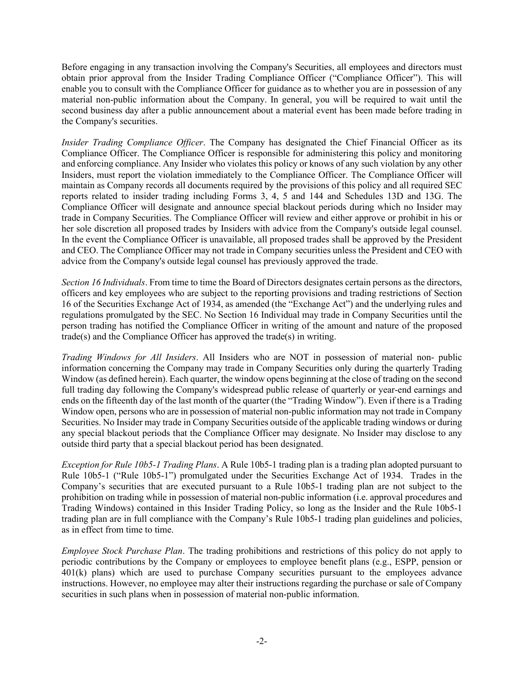Before engaging in any transaction involving the Company's Securities, all employees and directors must obtain prior approval from the Insider Trading Compliance Officer ("Compliance Officer"). This will enable you to consult with the Compliance Officer for guidance as to whether you are in possession of any material non-public information about the Company. In general, you will be required to wait until the second business day after a public announcement about a material event has been made before trading in the Company's securities.

*Insider Trading Compliance Officer*. The Company has designated the Chief Financial Officer as its Compliance Officer. The Compliance Officer is responsible for administering this policy and monitoring and enforcing compliance. Any Insider who violates this policy or knows of any such violation by any other Insiders, must report the violation immediately to the Compliance Officer. The Compliance Officer will maintain as Company records all documents required by the provisions of this policy and all required SEC reports related to insider trading including Forms 3, 4, 5 and 144 and Schedules 13D and 13G. The Compliance Officer will designate and announce special blackout periods during which no Insider may trade in Company Securities. The Compliance Officer will review and either approve or prohibit in his or her sole discretion all proposed trades by Insiders with advice from the Company's outside legal counsel. In the event the Compliance Officer is unavailable, all proposed trades shall be approved by the President and CEO. The Compliance Officer may not trade in Company securities unless the President and CEO with advice from the Company's outside legal counsel has previously approved the trade.

*Section 16 Individuals*. From time to time the Board of Directors designates certain persons as the directors, officers and key employees who are subject to the reporting provisions and trading restrictions of Section 16 of the Securities Exchange Act of 1934, as amended (the "Exchange Act") and the underlying rules and regulations promulgated by the SEC. No Section 16 Individual may trade in Company Securities until the person trading has notified the Compliance Officer in writing of the amount and nature of the proposed trade(s) and the Compliance Officer has approved the trade(s) in writing.

*Trading Windows for All Insiders*. All Insiders who are NOT in possession of material non- public information concerning the Company may trade in Company Securities only during the quarterly Trading Window (as defined herein). Each quarter, the window opens beginning at the close of trading on the second full trading day following the Company's widespread public release of quarterly or year-end earnings and ends on the fifteenth day of the last month of the quarter (the "Trading Window"). Even if there is a Trading Window open, persons who are in possession of material non-public information may not trade in Company Securities. No Insider may trade in Company Securities outside of the applicable trading windows or during any special blackout periods that the Compliance Officer may designate. No Insider may disclose to any outside third party that a special blackout period has been designated.

*Exception for Rule 10b5-1 Trading Plans*. A Rule 10b5-1 trading plan is a trading plan adopted pursuant to Rule 10b5-1 ("Rule 10b5-1") promulgated under the Securities Exchange Act of 1934. Trades in the Company's securities that are executed pursuant to a Rule 10b5-1 trading plan are not subject to the prohibition on trading while in possession of material non-public information (i.e. approval procedures and Trading Windows) contained in this Insider Trading Policy, so long as the Insider and the Rule 10b5-1 trading plan are in full compliance with the Company's Rule 10b5-1 trading plan guidelines and policies, as in effect from time to time.

*Employee Stock Purchase Plan*. The trading prohibitions and restrictions of this policy do not apply to periodic contributions by the Company or employees to employee benefit plans (e.g., ESPP, pension or 401(k) plans) which are used to purchase Company securities pursuant to the employees advance instructions. However, no employee may alter their instructions regarding the purchase or sale of Company securities in such plans when in possession of material non-public information.